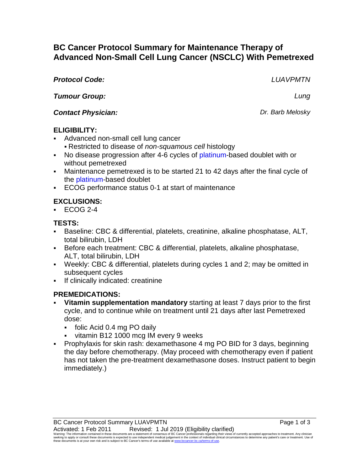# **BC Cancer Protocol Summary for Maintenance Therapy of Advanced Non-Small Cell Lung Cancer (NSCLC) With Pemetrexed**

| <b>Protocol Code:</b>     | <b>LUAVPMTN</b>  |
|---------------------------|------------------|
| <b>Tumour Group:</b>      | Lung             |
| <b>Contact Physician:</b> | Dr. Barb Melosky |
| <b>ELIGIBILITY:</b>       |                  |

- Advanced non-small cell lung cancer
	- Restricted to disease of *non-squamous cell* histology
- No disease progression after 4-6 cycles of platinum-based doublet with or without pemetrexed
- Maintenance pemetrexed is to be started 21 to 42 days after the final cycle of the platinum-based doublet
- ECOG performance status 0-1 at start of maintenance

## **EXCLUSIONS:**

 $\textdegree$  ECOG 2-4

## **TESTS:**

- Baseline: CBC & differential, platelets, creatinine, alkaline phosphatase, ALT, total bilirubin, LDH
- Before each treatment: CBC & differential, platelets, alkaline phosphatase, ALT, total bilirubin, LDH
- Weekly: CBC & differential, platelets during cycles 1 and 2; may be omitted in subsequent cycles
- If clinically indicated: creatinine

## **PREMEDICATIONS:**

- **Vitamin supplementation mandatory** starting at least 7 days prior to the first cycle, and to continue while on treatment until 21 days after last Pemetrexed dose:
	- folic Acid 0.4 mg PO daily
	- vitamin B12 1000 mcg IM every 9 weeks
- Prophylaxis for skin rash: dexamethasone 4 mg PO BID for 3 days, beginning the day before chemotherapy. (May proceed with chemotherapy even if patient has not taken the pre-treatment dexamethasone doses. Instruct patient to begin immediately.)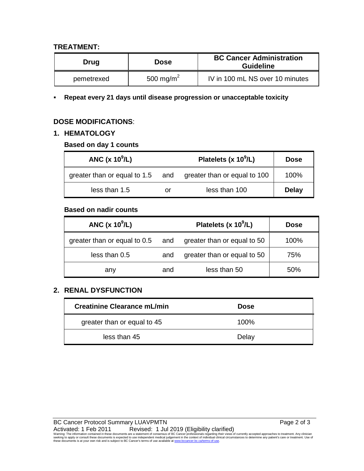#### **TREATMENT:**

| Drug       | <b>Dose</b>           | <b>BC Cancer Administration</b><br><b>Guideline</b> |
|------------|-----------------------|-----------------------------------------------------|
| pemetrexed | 500 mg/m <sup>2</sup> | IV in 100 mL NS over 10 minutes                     |

#### **Repeat every 21 days until disease progression or unacceptable toxicity**

#### **DOSE MODIFICATIONS**:

#### **1. HEMATOLOGY**

#### **Based on day 1 counts**

| ANC $(x 10^9/L)$                 |    | Platelets (x $10^9$ /L)      | <b>Dose</b>  |
|----------------------------------|----|------------------------------|--------------|
| greater than or equal to 1.5 and |    | greater than or equal to 100 | 100%         |
| less than 1.5                    | or | less than 100                | <b>Delay</b> |

#### **Based on nadir counts**

| ANC $(x 10^9/L)$             |     | Platelets (x $10^9$ /L)     | <b>Dose</b> |
|------------------------------|-----|-----------------------------|-------------|
| greater than or equal to 0.5 | and | greater than or equal to 50 | 100%        |
| less than 0.5                | and | greater than or equal to 50 | 75%         |
| any                          | and | less than 50                | 50%         |

#### **2. RENAL DYSFUNCTION**

| Creatinine Clearance mL/min | <b>Dose</b> |
|-----------------------------|-------------|
| greater than or equal to 45 | $100\%$     |
| less than 45                | Delay       |